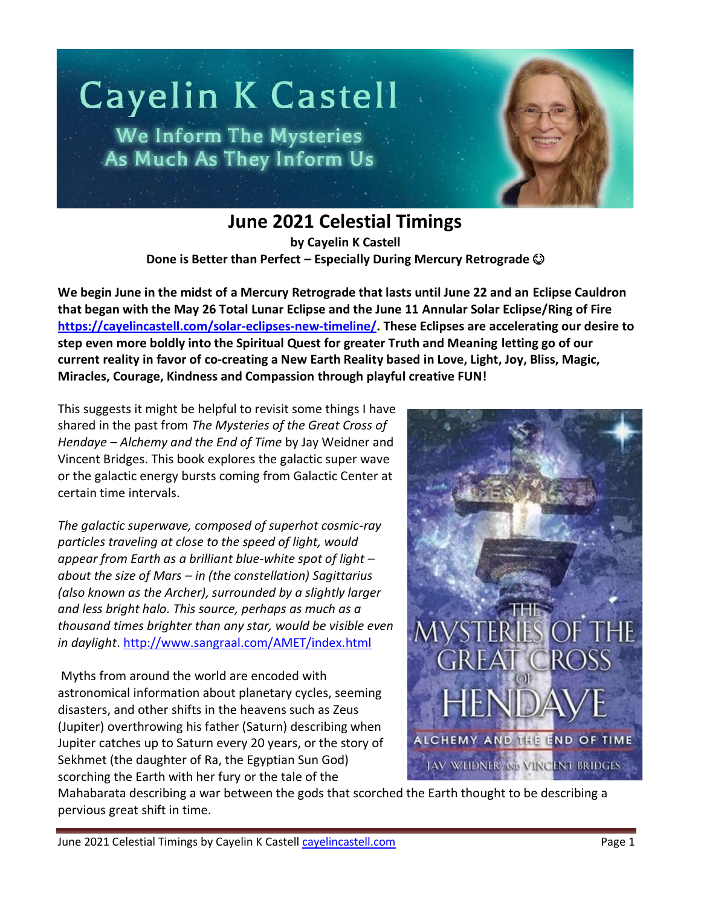

**June 2021 Celestial Timings**

**by Cayelin K Castell Done is Better than Perfect – Especially During Mercury Retrograde** 

**We begin June in the midst of a Mercury Retrograde that lasts until June 22 and an Eclipse Cauldron that began with the May 26 Total Lunar Eclipse and the June 11 Annular Solar Eclipse/Ring of Fire [https://cayelincastell.com/solar-eclipses-new-timeline/.](https://cayelincastell.com/solar-eclipses-new-timeline/) These Eclipses are accelerating our desire to step even more boldly into the Spiritual Quest for greater Truth and Meaning letting go of our current reality in favor of co-creating a New Earth Reality based in Love, Light, Joy, Bliss, Magic, Miracles, Courage, Kindness and Compassion through playful creative FUN!**

This suggests it might be helpful to revisit some things I have shared in the past from *The Mysteries of the Great Cross of Hendaye – Alchemy and the End of Time* by Jay Weidner and Vincent Bridges. This book explores the galactic super wave or the galactic energy bursts coming from Galactic Center at certain time intervals.

*The galactic superwave, composed of superhot cosmic-ray particles traveling at close to the speed of light, would appear from Earth as a brilliant blue-white spot of light – about the size of Mars – in (the constellation) Sagittarius (also known as the Archer), surrounded by a slightly larger and less bright halo. This source, perhaps as much as a thousand times brighter than any star, would be visible even in daylight*[. http://www.sangraal.com/AMET/index.html](http://www.sangraal.com/AMET/index.html) 

Myths from around the world are encoded with astronomical information about planetary cycles, seeming disasters, and other shifts in the heavens such as Zeus (Jupiter) overthrowing his father (Saturn) describing when Jupiter catches up to Saturn every 20 years, or the story of Sekhmet (the daughter of Ra, the Egyptian Sun God) scorching the Earth with her fury or the tale of the



Mahabarata describing a war between the gods that scorched the Earth thought to be describing a pervious great shift in time.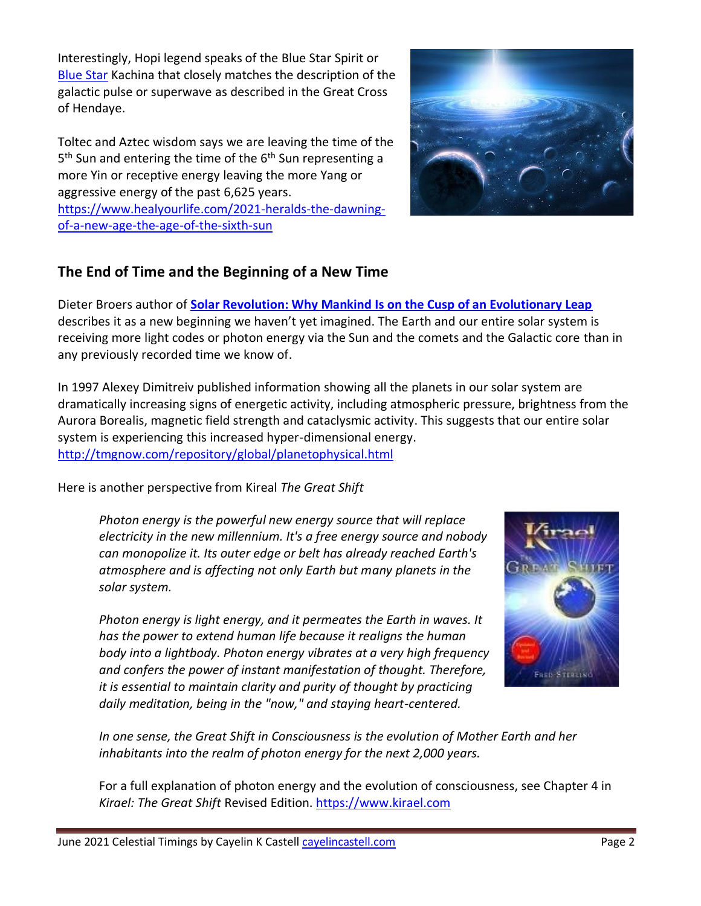Interestingly, Hopi legend speaks of the Blue Star Spirit or [Blue Star](http://en.wikipedia.org/wiki/Wikipedia:Blue_Star_Kachina) Kachina that closely matches the description of the galactic pulse or superwave as described in the Great Cross of Hendaye.

Toltec and Aztec wisdom says we are leaving the time of the 5<sup>th</sup> Sun and entering the time of the 6<sup>th</sup> Sun representing a more Yin or receptive energy leaving the more Yang or aggressive energy of the past 6,625 years. [https://www.healyourlife.com/2021-heralds-the-dawning](https://www.healyourlife.com/2021-heralds-the-dawning-of-a-new-age-the-age-of-the-sixth-sun)[of-a-new-age-the-age-of-the-sixth-sun](https://www.healyourlife.com/2021-heralds-the-dawning-of-a-new-age-the-age-of-the-sixth-sun)



### **The End of Time and the Beginning of a New Time**

Dieter Broers author of **[Solar Revolution: Why Mankind Is on the Cusp of an Evolutionary Leap](https://www.amazon.com/Solar-Revolution-Mankind-Cusp-Evolutionary/dp/1583945040)** describes it as a new beginning we haven't yet imagined. The Earth and our entire solar system is receiving more light codes or photon energy via the Sun and the comets and the Galactic core than in any previously recorded time we know of.

In 1997 Alexey Dimitreiv published information showing all the planets in our solar system are dramatically increasing signs of energetic activity, including atmospheric pressure, brightness from the Aurora Borealis, magnetic field strength and cataclysmic activity. This suggests that our entire solar system is experiencing this increased hyper-dimensional energy. <http://tmgnow.com/repository/global/planetophysical.html>

Here is another perspective from Kireal *The Great Shift*

*Photon energy is the powerful new energy source that will replace electricity in the new millennium. It's a free energy source and nobody can monopolize it. Its outer edge or belt has already reached Earth's atmosphere and is affecting not only Earth but many planets in the solar system.* 

*Photon energy is light energy, and it permeates the Earth in waves. It has the power to extend human life because it realigns the human body into a lightbody. Photon energy vibrates at a very high frequency and confers the power of instant manifestation of thought. Therefore, it is essential to maintain clarity and purity of thought by practicing daily meditation, being in the "now," and staying heart-centered.* 



*In one sense, the Great Shift in Consciousness is the evolution of Mother Earth and her inhabitants into the realm of photon energy for the next 2,000 years.* 

For a full explanation of photon energy and the evolution of consciousness, see Chapter 4 in *Kirael: The Great Shift* Revised Edition. [https://www.kirael.com](https://www.kirael.com/)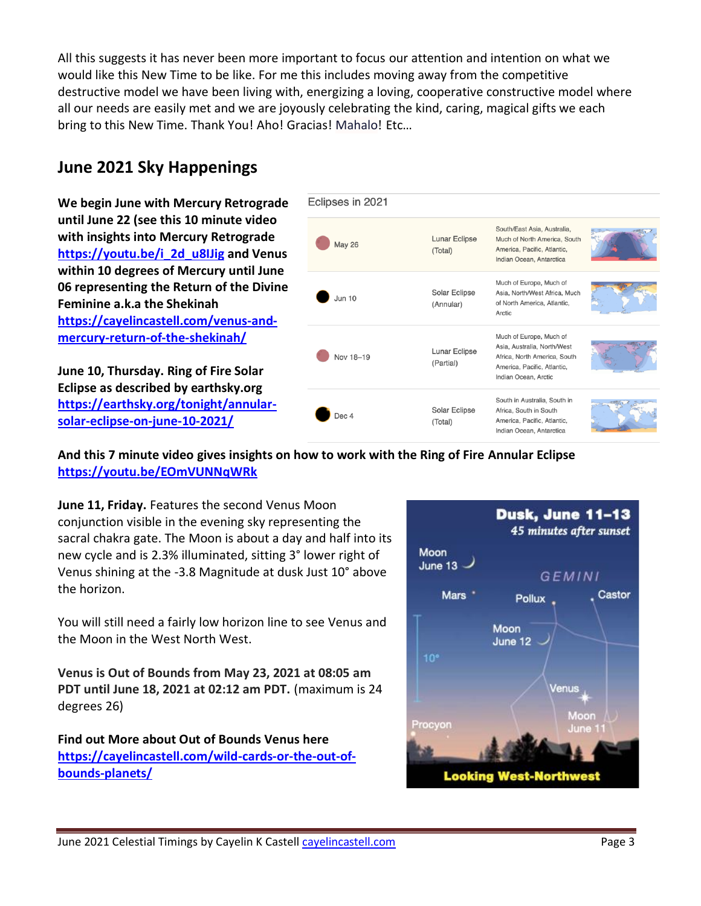All this suggests it has never been more important to focus our attention and intention on what we would like this New Time to be like. For me this includes moving away from the competitive destructive model we have been living with, energizing a loving, cooperative constructive model where all our needs are easily met and we are joyously celebrating the kind, caring, magical gifts we each bring to this New Time. Thank You! Aho! Gracias! Mahalo! Etc…

# **June 2021 Sky Happenings**

**We begin June with Mercury Retrograde until June 22 (see this 10 minute video with insights into Mercury Retrograde [https://youtu.be/i\\_2d\\_u8IJig](https://youtu.be/i_2d_u8IJig) and Venus within 10 degrees of Mercury until June 06 representing the Return of the Divine Feminine a.k.a the Shekinah [https://cayelincastell.com/venus-and](https://cayelincastell.com/venus-and-mercury-return-of-the-shekinah/)[mercury-return-of-the-shekinah/](https://cayelincastell.com/venus-and-mercury-return-of-the-shekinah/)**

**June 10, Thursday. Ring of Fire Solar Eclipse as described by earthsky.org [https://earthsky.org/tonight/annular](https://earthsky.org/tonight/annular-solar-eclipse-on-june-10-2021/)[solar-eclipse-on-june-10-2021/](https://earthsky.org/tonight/annular-solar-eclipse-on-june-10-2021/)**



**And this 7 minute video gives insights on how to work with the Ring of Fire Annular Eclipse <https://youtu.be/EOmVUNNqWRk>**

**June 11, Friday.** Features the second Venus Moon conjunction visible in the evening sky representing the sacral chakra gate. The Moon is about a day and half into its new cycle and is 2.3% illuminated, sitting 3° lower right of Venus shining at the -3.8 Magnitude at dusk Just 10° above the horizon.

You will still need a fairly low horizon line to see Venus and the Moon in the West North West.

**Venus is Out of Bounds from May 23, 2021 at 08:05 am PDT until June 18, 2021 at 02:12 am PDT.** (maximum is 24 degrees 26)

**Find out More about Out of Bounds Venus here [https://cayelincastell.com/wild-cards-or-the-out-of](https://cayelincastell.com/wild-cards-or-the-out-of-bounds-planets/)[bounds-planets/](https://cayelincastell.com/wild-cards-or-the-out-of-bounds-planets/)**

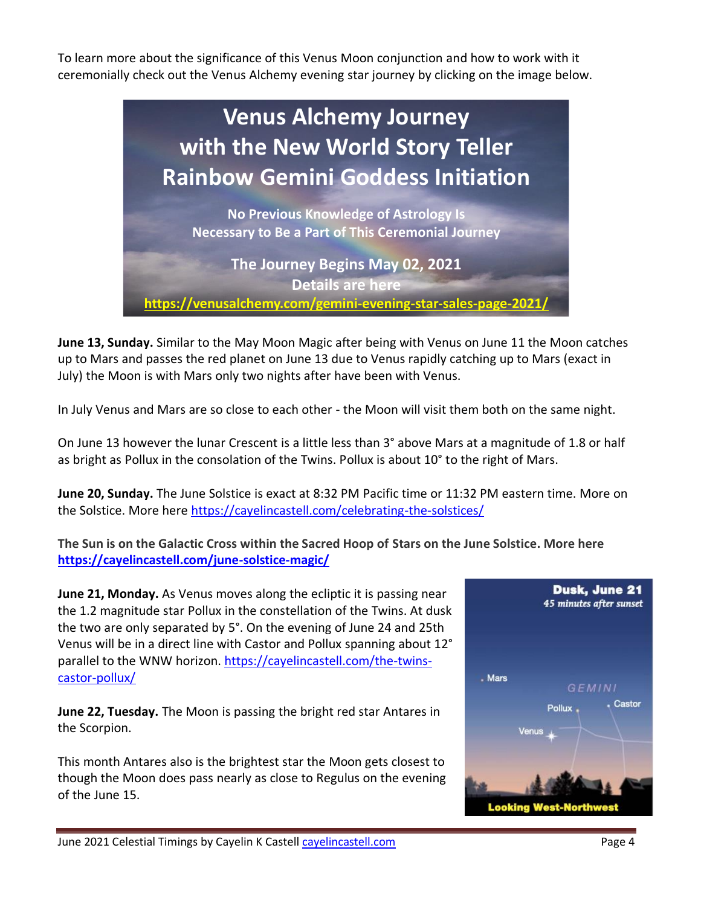To learn more about the significance of this Venus Moon conjunction and how to work with it ceremonially check out the Venus Alchemy evening star journey by clicking on the image below.



**June 13, Sunday.** Similar to the May Moon Magic after being with Venus on June 11 the Moon catches up to Mars and passes the red planet on June 13 due to Venus rapidly catching up to Mars (exact in July) the Moon is with Mars only two nights after have been with Venus.

In July Venus and Mars are so close to each other - the Moon will visit them both on the same night.

On June 13 however the lunar Crescent is a little less than 3° above Mars at a magnitude of 1.8 or half as bright as Pollux in the consolation of the Twins. Pollux is about 10° to the right of Mars.

**June 20, Sunday.** The June Solstice is exact at 8:32 PM Pacific time or 11:32 PM eastern time. More on the Solstice. More here<https://cayelincastell.com/celebrating-the-solstices/>

**The Sun is on the Galactic Cross within the Sacred Hoop of Stars on the June Solstice. More here <https://cayelincastell.com/june-solstice-magic/>**

**June 21, Monday.** As Venus moves along the ecliptic it is passing near the 1.2 magnitude star Pollux in the constellation of the Twins. At dusk the two are only separated by 5°. On the evening of June 24 and 25th Venus will be in a direct line with Castor and Pollux spanning about 12° parallel to the WNW horizon. [https://cayelincastell.com/the-twins](https://cayelincastell.com/the-twins-castor-pollux/)[castor-pollux/](https://cayelincastell.com/the-twins-castor-pollux/)

**June 22, Tuesday.** The Moon is passing the bright red star Antares in the Scorpion.

This month Antares also is the brightest star the Moon gets closest to though the Moon does pass nearly as close to Regulus on the evening of the June 15.

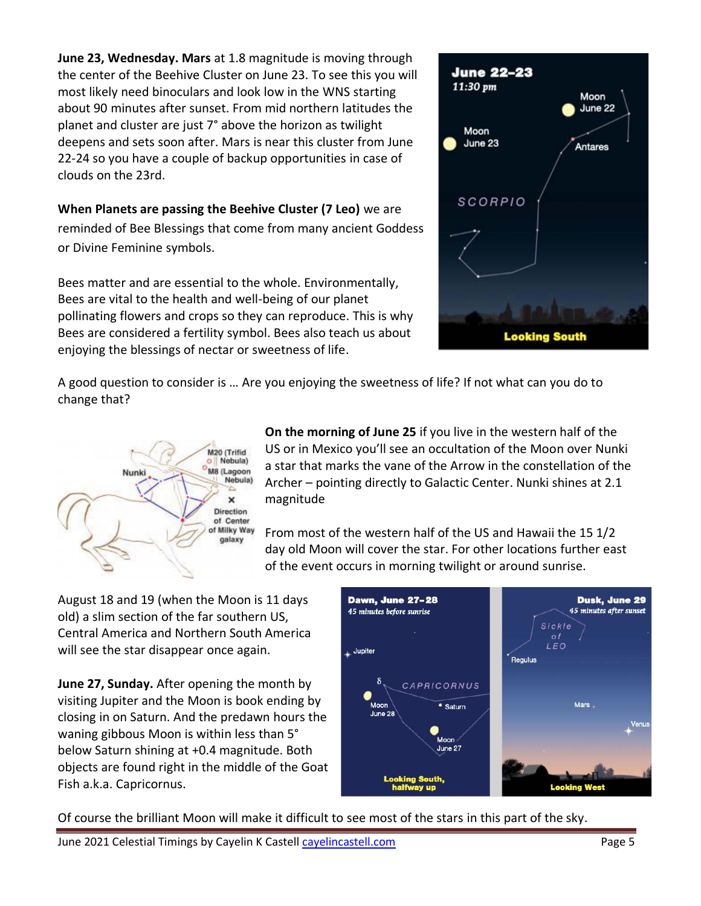**June 23, Wednesday. Mars** at 1.8 magnitude is moving through the center of the Beehive Cluster on June 23. To see this you will most likely need binoculars and look low in the WNS starting about 90 minutes after sunset. From mid northern latitudes the planet and cluster are just 7° above the horizon as twilight deepens and sets soon after. Mars is near this cluster from June 22-24 so you have a couple of backup opportunities in case of clouds on the 23rd.

**When Planets are passing the Beehive Cluster (7 Leo)** we are reminded of Bee Blessings that come from many ancient Goddess or Divine Feminine symbols.

Bees matter and are essential to the whole. Environmentally, Bees are vital to the health and well-being of our planet pollinating flowers and crops so they can reproduce. This is why Bees are considered a fertility symbol. Bees also teach us about enjoying the blessings of nectar or sweetness of life.



A good question to consider is … Are you enjoying the sweetness of life? If not what can you do to change that?



**On the morning of June 25** if you live in the western half of the US or in Mexico you'll see an occultation of the Moon over Nunki a star that marks the vane of the Arrow in the constellation of the Archer – pointing directly to Galactic Center. Nunki shines at 2.1 magnitude

From most of the western half of the US and Hawaii the 15 1/2 day old Moon will cover the star. For other locations further east of the event occurs in morning twilight or around sunrise.

August 18 and 19 (when the Moon is 11 days old) a slim section of the far southern US, Central America and Northern South America will see the star disappear once again.

**June 27, Sunday.** After opening the month by visiting Jupiter and the Moon is book ending by closing in on Saturn. And the predawn hours the waning gibbous Moon is within less than 5° below Saturn shining at +0.4 magnitude. Both objects are found right in the middle of the Goat Fish a.k.a. Capricornus.



Of course the brilliant Moon will make it difficult to see most of the stars in this part of the sky.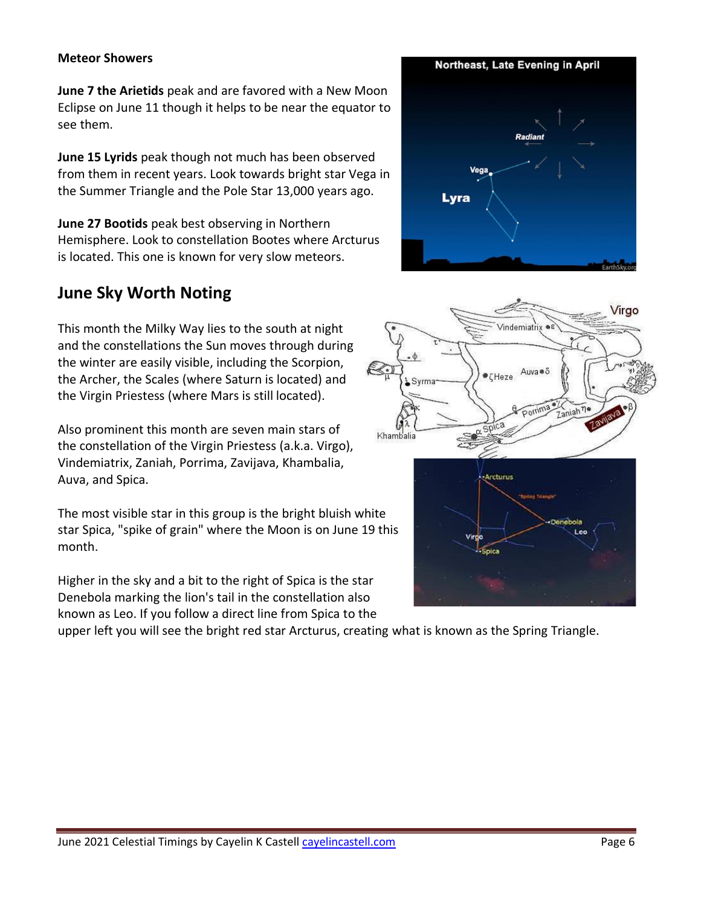#### **Meteor Showers**

**June 7 the Arietids** peak and are favored with a New Moon Eclipse on June 11 though it helps to be near the equator to see them.

**June 15 Lyrids** peak though not much has been observed from them in recent years. Look towards bright star Vega in the Summer Triangle and the Pole Star 13,000 years ago.

**June 27 Bootids** peak best observing in Northern Hemisphere. Look to constellation Bootes where Arcturus is located. This one is known for very slow meteors.

## **June Sky Worth Noting**

This month the Milky Way lies to the south at night and the constellations the Sun moves through during the winter are easily visible, including the Scorpion, the Archer, the Scales (where Saturn is located) and the Virgin Priestess (where Mars is still located).

Also prominent this month are seven main stars of the constellation of the Virgin Priestess (a.k.a. Virgo), Vindemiatrix, Zaniah, Porrima, Zavijava, Khambalia, Auva, and Spica.

The most visible star in this group is the bright bluish white star Spica, "spike of grain" where the Moon is on June 19 this month.

Higher in the sky and a bit to the right of Spica is the star Denebola marking the lion's tail in the constellation also known as Leo. If you follow a direct line from Spica to the

upper left you will see the bright red star Arcturus, creating what is known as the Spring Triangle.



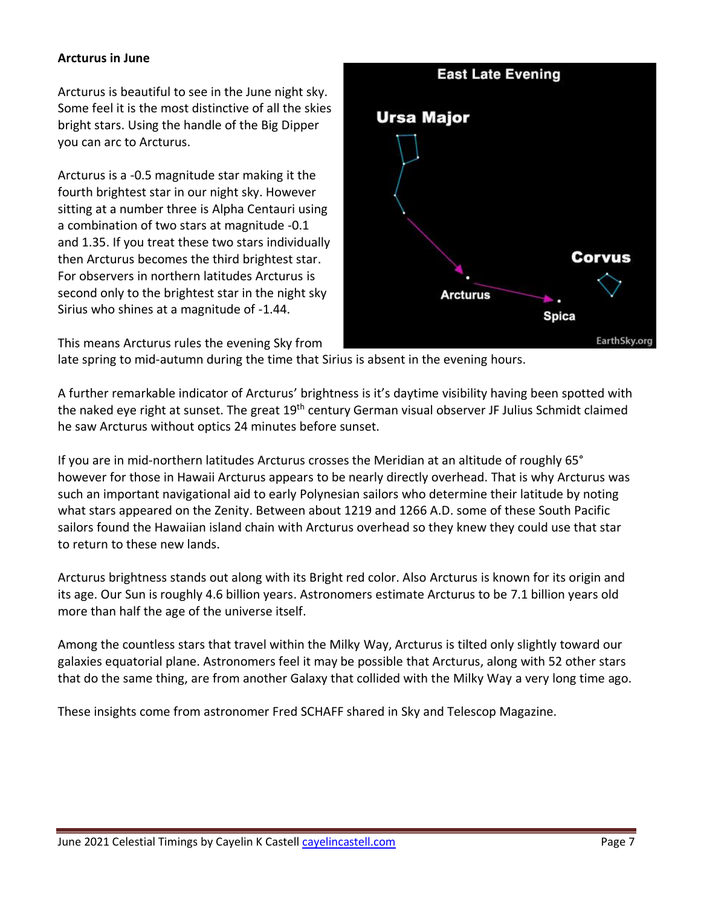#### **Arcturus in June**

Arcturus is beautiful to see in the June night sky. Some feel it is the most distinctive of all the skies bright stars. Using the handle of the Big Dipper you can arc to Arcturus.

Arcturus is a -0.5 magnitude star making it the fourth brightest star in our night sky. However sitting at a number three is Alpha Centauri using a combination of two stars at magnitude -0.1 and 1.35. If you treat these two stars individually then Arcturus becomes the third brightest star. For observers in northern latitudes Arcturus is second only to the brightest star in the night sky Sirius who shines at a magnitude of -1.44.



This means Arcturus rules the evening Sky from

late spring to mid-autumn during the time that Sirius is absent in the evening hours.

A further remarkable indicator of Arcturus' brightness is it's daytime visibility having been spotted with the naked eye right at sunset. The great 19<sup>th</sup> century German visual observer JF Julius Schmidt claimed he saw Arcturus without optics 24 minutes before sunset.

If you are in mid-northern latitudes Arcturus crosses the Meridian at an altitude of roughly 65° however for those in Hawaii Arcturus appears to be nearly directly overhead. That is why Arcturus was such an important navigational aid to early Polynesian sailors who determine their latitude by noting what stars appeared on the Zenity. Between about 1219 and 1266 A.D. some of these South Pacific sailors found the Hawaiian island chain with Arcturus overhead so they knew they could use that star to return to these new lands.

Arcturus brightness stands out along with its Bright red color. Also Arcturus is known for its origin and its age. Our Sun is roughly 4.6 billion years. Astronomers estimate Arcturus to be 7.1 billion years old more than half the age of the universe itself.

Among the countless stars that travel within the Milky Way, Arcturus is tilted only slightly toward our galaxies equatorial plane. Astronomers feel it may be possible that Arcturus, along with 52 other stars that do the same thing, are from another Galaxy that collided with the Milky Way a very long time ago.

These insights come from astronomer Fred SCHAFF shared in Sky and Telescop Magazine.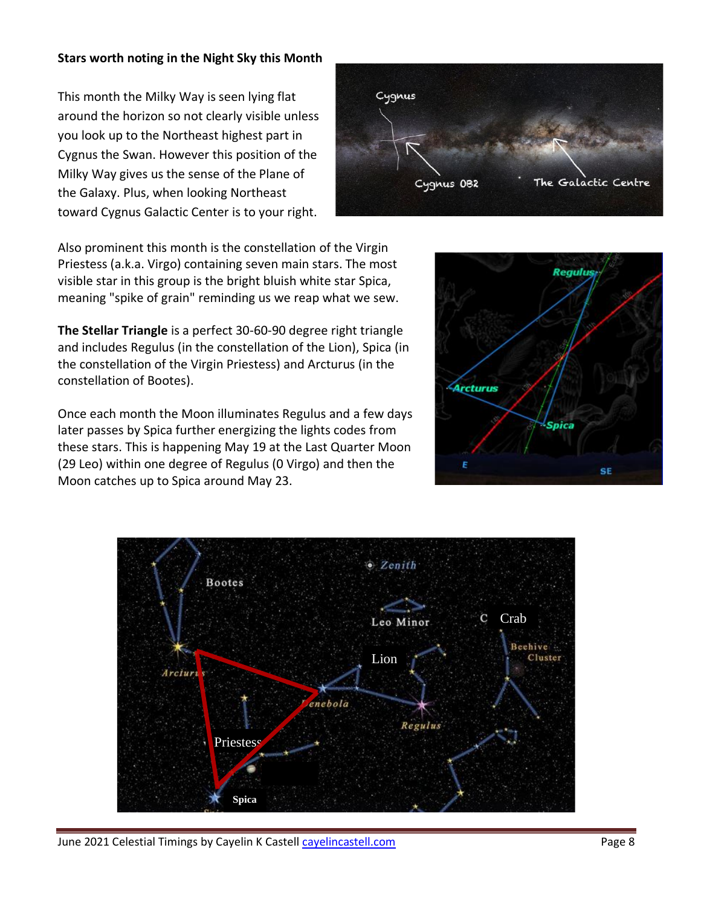#### **Stars worth noting in the Night Sky this Month**

This month the Milky Way is seen lying flat around the horizon so not clearly visible unless you look up to the Northeast highest part in Cygnus the Swan. However this position of the Milky Way gives us the sense of the Plane of the Galaxy. Plus, when looking Northeast toward Cygnus Galactic Center is to your right.



Also prominent this month is the constellation of the Virgin Priestess (a.k.a. Virgo) containing seven main stars. The most visible star in this group is the bright bluish white star Spica, meaning "spike of grain" reminding us we reap what we sew.

**The Stellar Triangle** is a perfect 30-60-90 degree right triangle and includes Regulus (in the constellation of the Lion), Spica (in the constellation of the Virgin Priestess) and Arcturus (in the constellation of Bootes).

Once each month the Moon illuminates Regulus and a few days later passes by Spica further energizing the lights codes from these stars. This is happening May 19 at the Last Quarter Moon (29 Leo) within one degree of Regulus (0 Virgo) and then the Moon catches up to Spica around May 23.